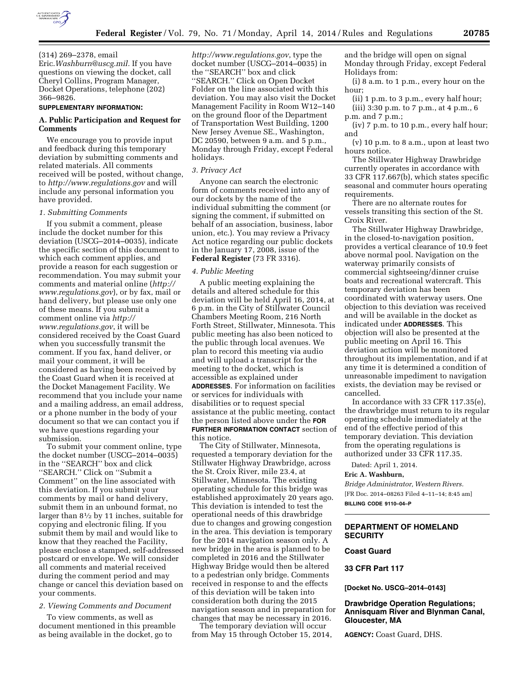

(314) 269–2378, email Eric.*[Washburn@uscg.mil.](mailto:Washburn@uscg.mil)* If you have questions on viewing the docket, call Cheryl Collins, Program Manager, Docket Operations, telephone (202) 366–9826.

#### **SUPPLEMENTARY INFORMATION:**

## **A. Public Participation and Request for Comments**

We encourage you to provide input and feedback during this temporary deviation by submitting comments and related materials. All comments received will be posted, without change, to *<http://www.regulations.gov>*and will include any personal information you have provided.

#### *1. Submitting Comments*

If you submit a comment, please include the docket number for this deviation (USCG–2014–0035), indicate the specific section of this document to which each comment applies, and provide a reason for each suggestion or recommendation. You may submit your comments and material online (*[http://](http://www.regulations.gov)  [www.regulations.gov](http://www.regulations.gov)*), or by fax, mail or hand delivery, but please use only one of these means. If you submit a comment online via *[http://](http://www.regulations.gov) [www.regulations.gov](http://www.regulations.gov)*, it will be considered received by the Coast Guard when you successfully transmit the comment. If you fax, hand deliver, or mail your comment, it will be considered as having been received by the Coast Guard when it is received at the Docket Management Facility. We recommend that you include your name and a mailing address, an email address, or a phone number in the body of your document so that we can contact you if we have questions regarding your submission.

To submit your comment online, type the docket number (USCG–2014–0035) in the ''SEARCH'' box and click ''SEARCH.'' Click on ''Submit a Comment'' on the line associated with this deviation. If you submit your comments by mail or hand delivery, submit them in an unbound format, no larger than 81⁄2 by 11 inches, suitable for copying and electronic filing. If you submit them by mail and would like to know that they reached the Facility, please enclose a stamped, self-addressed postcard or envelope. We will consider all comments and material received during the comment period and may change or cancel this deviation based on your comments.

#### *2. Viewing Comments and Document*

To view comments, as well as document mentioned in this preamble as being available in the docket, go to

*<http://www.regulations.gov>*, type the docket number (USCG–2014–0035) in the ''SEARCH'' box and click ''SEARCH.'' Click on Open Docket Folder on the line associated with this deviation. You may also visit the Docket Management Facility in Room W12–140 on the ground floor of the Department of Transportation West Building, 1200 New Jersey Avenue SE., Washington, DC 20590, between 9 a.m. and 5 p.m., Monday through Friday, except Federal holidays.

#### *3. Privacy Act*

Anyone can search the electronic form of comments received into any of our dockets by the name of the individual submitting the comment (or signing the comment, if submitted on behalf of an association, business, labor union, etc.). You may review a Privacy Act notice regarding our public dockets in the January 17, 2008, issue of the **Federal Register** (73 FR 3316).

#### *4. Public Meeting*

A public meeting explaining the details and altered schedule for this deviation will be held April 16, 2014, at 6 p.m. in the City of Stillwater Council Chambers Meeting Room, 216 North Forth Street, Stillwater, Minnesota. This public meeting has also been noticed to the public through local avenues. We plan to record this meeting via audio and will upload a transcript for the meeting to the docket, which is accessible as explained under **ADDRESSES**. For information on facilities or services for individuals with disabilities or to request special assistance at the public meeting, contact the person listed above under the **FOR FURTHER INFORMATION CONTACT** section of this notice.

The City of Stillwater, Minnesota, requested a temporary deviation for the Stillwater Highway Drawbridge, across the St. Croix River, mile 23.4, at Stillwater, Minnesota. The existing operating schedule for this bridge was established approximately 20 years ago. This deviation is intended to test the operational needs of this drawbridge due to changes and growing congestion in the area. This deviation is temporary for the 2014 navigation season only. A new bridge in the area is planned to be completed in 2016 and the Stillwater Highway Bridge would then be altered to a pedestrian only bridge. Comments received in response to and the effects of this deviation will be taken into consideration both during the 2015 navigation season and in preparation for changes that may be necessary in 2016.

The temporary deviation will occur from May 15 through October 15, 2014, and the bridge will open on signal Monday through Friday, except Federal Holidays from:

(i) 8 a.m. to 1 p.m., every hour on the hour;

(ii) 1 p.m. to 3 p.m., every half hour; (iii) 3:30 p.m. to 7 p.m., at 4 p.m., 6 p.m. and 7 p.m.;

(iv) 7 p.m. to 10 p.m., every half hour; and

(v) 10 p.m. to 8 a.m., upon at least two hours notice.

The Stillwater Highway Drawbridge currently operates in accordance with 33 CFR 117.667(b), which states specific seasonal and commuter hours operating requirements.

There are no alternate routes for vessels transiting this section of the St. Croix River.

The Stillwater Highway Drawbridge, in the closed-to-navigation position, provides a vertical clearance of 10.9 feet above normal pool. Navigation on the waterway primarily consists of commercial sightseeing/dinner cruise boats and recreational watercraft. This temporary deviation has been coordinated with waterway users. One objection to this deviation was received and will be available in the docket as indicated under **ADDRESSES**. This objection will also be presented at the public meeting on April 16. This deviation action will be monitored throughout its implementation, and if at any time it is determined a condition of unreasonable impediment to navigation exists, the deviation may be revised or cancelled.

In accordance with 33 CFR 117.35(e), the drawbridge must return to its regular operating schedule immediately at the end of the effective period of this temporary deviation. This deviation from the operating regulations is authorized under 33 CFR 117.35.

Dated: April 1, 2014.

#### **Eric A. Washburn,**

*Bridge Administrator, Western Rivers.*  [FR Doc. 2014–08263 Filed 4–11–14; 8:45 am] **BILLING CODE 9110–04–P** 

# **DEPARTMENT OF HOMELAND SECURITY**

# **Coast Guard**

## **33 CFR Part 117**

**[Docket No. USCG–2014–0143]** 

# **Drawbridge Operation Regulations; Annisquam River and Blynman Canal, Gloucester, MA**

**AGENCY:** Coast Guard, DHS.